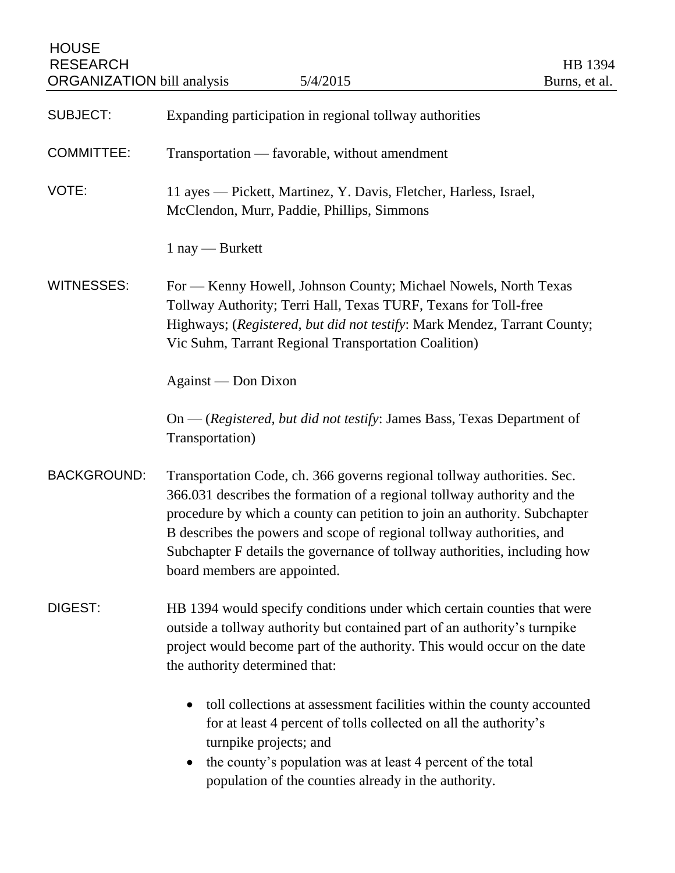| <b>HOUSE</b><br><b>RESEARCH</b><br><b>ORGANIZATION</b> bill analysis | 5/4/2015                                                                                                                                                                                                                                                                                                                                                                                                              | HB 1394<br>Burns, et al. |
|----------------------------------------------------------------------|-----------------------------------------------------------------------------------------------------------------------------------------------------------------------------------------------------------------------------------------------------------------------------------------------------------------------------------------------------------------------------------------------------------------------|--------------------------|
| <b>SUBJECT:</b>                                                      | Expanding participation in regional tollway authorities                                                                                                                                                                                                                                                                                                                                                               |                          |
| <b>COMMITTEE:</b>                                                    | Transportation — favorable, without amendment                                                                                                                                                                                                                                                                                                                                                                         |                          |
| VOTE:                                                                | 11 ayes — Pickett, Martinez, Y. Davis, Fletcher, Harless, Israel,<br>McClendon, Murr, Paddie, Phillips, Simmons                                                                                                                                                                                                                                                                                                       |                          |
|                                                                      | $1$ nay — Burkett                                                                                                                                                                                                                                                                                                                                                                                                     |                          |
| <b>WITNESSES:</b>                                                    | For — Kenny Howell, Johnson County; Michael Nowels, North Texas<br>Tollway Authority; Terri Hall, Texas TURF, Texans for Toll-free<br>Highways; (Registered, but did not testify: Mark Mendez, Tarrant County;<br>Vic Suhm, Tarrant Regional Transportation Coalition)                                                                                                                                                |                          |
|                                                                      | Against — Don Dixon                                                                                                                                                                                                                                                                                                                                                                                                   |                          |
|                                                                      | On — (Registered, but did not testify: James Bass, Texas Department of<br>Transportation)                                                                                                                                                                                                                                                                                                                             |                          |
| <b>BACKGROUND:</b>                                                   | Transportation Code, ch. 366 governs regional tollway authorities. Sec.<br>366.031 describes the formation of a regional tollway authority and the<br>procedure by which a county can petition to join an authority. Subchapter<br>B describes the powers and scope of regional tollway authorities, and<br>Subchapter F details the governance of tollway authorities, including how<br>board members are appointed. |                          |
| DIGEST:                                                              | HB 1394 would specify conditions under which certain counties that were<br>outside a tollway authority but contained part of an authority's turnpike<br>project would become part of the authority. This would occur on the date<br>the authority determined that:                                                                                                                                                    |                          |
|                                                                      | toll collections at assessment facilities within the county accounted<br>$\bullet$<br>for at least 4 percent of tolls collected on all the authority's<br>turnpike projects; and<br>the county's population was at least 4 percent of the total<br>$\bullet$<br>population of the counties already in the authority.                                                                                                  |                          |